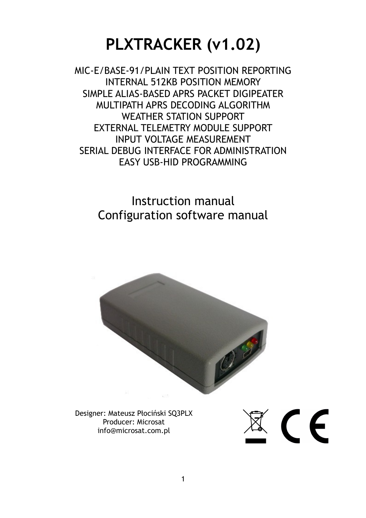# **PLXTRACKER (v1.02)**

MIC-E/BASE-91/PLAIN TEXT POSITION REPORTING INTERNAL 512KB POSITION MEMORY SIMPLE ALIAS-BASED APRS PACKET DIGIPEATER MULTIPATH APRS DECODING ALGORITHM WEATHER STATION SUPPORT EXTERNAL TELEMETRY MODULE SUPPORT INPUT VOLTAGE MEASUREMENT SERIAL DEBUG INTERFACE FOR ADMINISTRATION EASY USB-HID PROGRAMMING

> Instruction manual Configuration software manual



Designer: Mateusz Płociński SQ3PLX Producer: Microsat info@microsat.com.pl

 $\mathbb{R} \subset \mathsf{C}$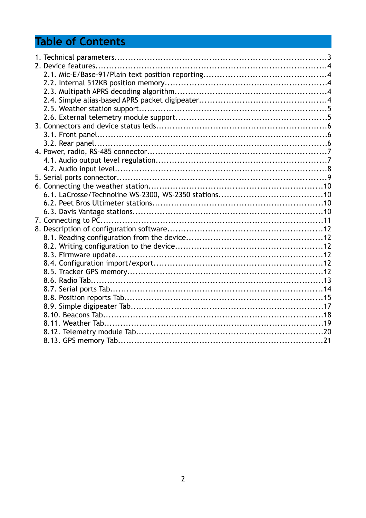## **Table of Contents**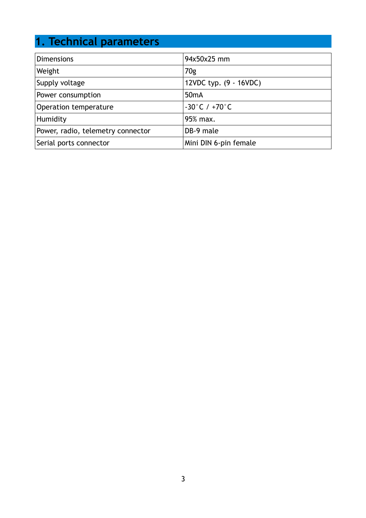## **1. Technical parameters**

| <b>Dimensions</b>                 | 94x50x25 mm                       |
|-----------------------------------|-----------------------------------|
| Weight                            | 70g                               |
| Supply voltage                    | 12VDC typ. (9 - 16VDC)            |
| Power consumption                 | 50 <sub>m</sub> A                 |
| Operation temperature             | $-30^{\circ}$ C / $+70^{\circ}$ C |
| Humidity                          | 95% max.                          |
| Power, radio, telemetry connector | DB-9 male                         |
| Serial ports connector            | Mini DIN 6-pin female             |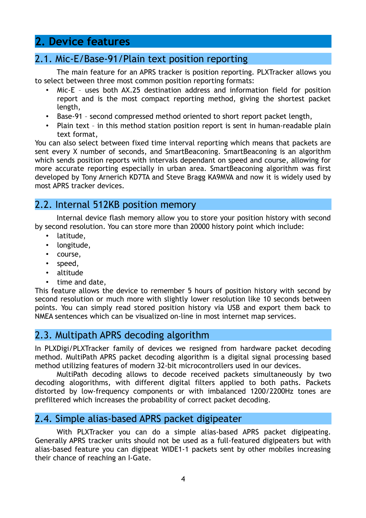## **2. Device features**

#### 2.1. Mic-E/Base-91/Plain text position reporting

The main feature for an APRS tracker is position reporting. PLXTracker allows you to select between three most common position reporting formats:

- Mic-E uses both AX.25 destination address and information field for position report and is the most compact reporting method, giving the shortest packet length,
- Base-91 second compressed method oriented to short report packet length,
- Plain text in this method station position report is sent in human-readable plain text format,

You can also select between fixed time interval reporting which means that packets are sent every X number of seconds, and SmartBeaconing. SmartBeaconing is an algorithm which sends position reports with intervals dependant on speed and course, allowing for more accurate reporting especially in urban area. SmartBeaconing algorithm was first developed by Tony Arnerich KD7TA and Steve Bragg KA9MVA and now it is widely used by most APRS tracker devices.

#### 2.2. Internal 512KB position memory

Internal device flash memory allow you to store your position history with second by second resolution. You can store more than 20000 history point which include:

- latitude,
- longitude,
- course,
- speed,
- altitude
- time and date,

This feature allows the device to remember 5 hours of position history with second by second resolution or much more with slightly lower resolution like 10 seconds between points. You can simply read stored position history via USB and export them back to NMEA sentences which can be visualized on-line in most internet map services.

#### 2.3. Multipath APRS decoding algorithm

In PLXDigi/PLXTracker family of devices we resigned from hardware packet decoding method. MultiPath APRS packet decoding algorithm is a digital signal processing based method utilizing features of modern 32-bit microcontrollers used in our devices.

MultiPath decoding allows to decode received packets simultaneously by two decoding alogorithms, with different digital filters applied to both paths. Packets distorted by low-frequency components or with imbalanced 1200/2200Hz tones are prefiltered which increases the probability of correct packet decoding.

#### 2.4. Simple alias-based APRS packet digipeater

With PLXTracker you can do a simple alias-based APRS packet digipeating. Generally APRS tracker units should not be used as a full-featured digipeaters but with alias-based feature you can digipeat WIDE1-1 packets sent by other mobiles increasing their chance of reaching an I-Gate.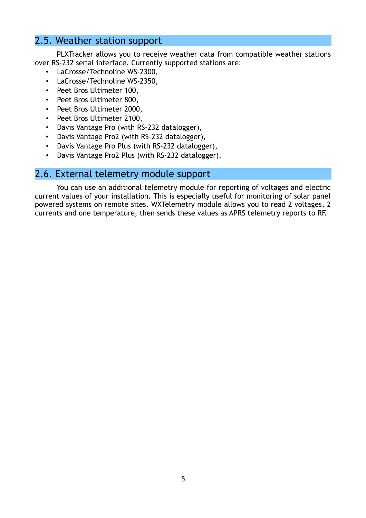#### 2.5. Weather station support

PLXTracker allows you to receive weather data from compatible weather stations over RS-232 serial interface. Currently supported stations are:

- LaCrosse/Technoline WS-2300,
- LaCrosse/Technoline WS-2350,
- Peet Bros Ultimeter 100,
- Peet Bros Ultimeter 800,
- Peet Bros Ultimeter 2000,
- Peet Bros Ultimeter 2100,
- Davis Vantage Pro (with RS-232 datalogger),
- Davis Vantage Pro2 (with RS-232 datalogger),
- Davis Vantage Pro Plus (with RS-232 datalogger),
- Davis Vantage Pro2 Plus (with RS-232 datalogger),

#### 2.6. External telemetry module support

You can use an additional telemetry module for reporting of voltages and electric current values of your installation. This is especially useful for monitoring of solar panel powered systems on remote sites. WXTelemetry module allows you to read 2 voltages, 2 currents and one temperature, then sends these values as APRS telemetry reports to RF.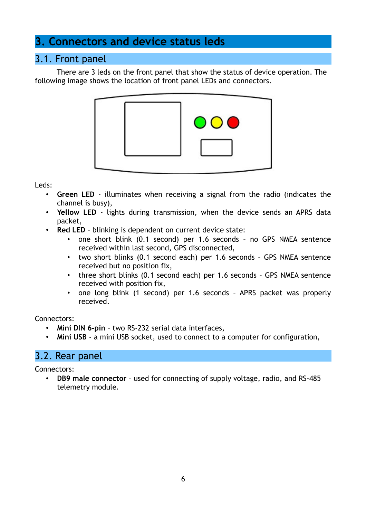## **3. Connectors and device status leds**

#### 3.1. Front panel

There are 3 leds on the front panel that show the status of device operation. The following image shows the location of front panel LEDs and connectors.



Leds:

- **Green LED**  illuminates when receiving a signal from the radio (indicates the channel is busy),
- **Yellow LED** lights during transmission, when the device sends an APRS data packet,
- **Red LED** blinking is dependent on current device state:
	- one short blink (0.1 second) per 1.6 seconds no GPS NMEA sentence received within last second, GPS disconnected,
	- two short blinks (0.1 second each) per 1.6 seconds GPS NMEA sentence received but no position fix,
	- three short blinks (0.1 second each) per 1.6 seconds GPS NMEA sentence received with position fix,
	- one long blink (1 second) per 1.6 seconds APRS packet was properly received.

Connectors:

- **Mini DIN 6-pin** two RS-232 serial data interfaces,
- **Mini USB** a mini USB socket, used to connect to a computer for configuration,

#### 3.2. Rear panel

Connectors:

• **DB9 male connector** – used for connecting of supply voltage, radio, and RS-485 telemetry module.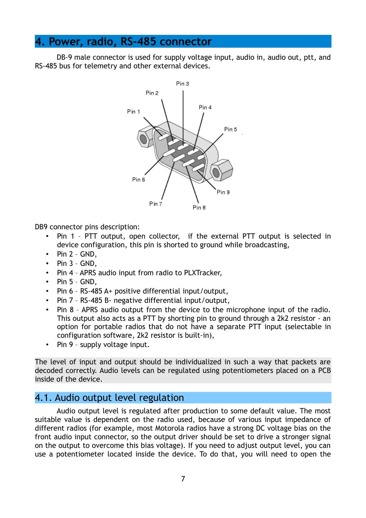## **4. Power, radio, RS-485 connector**

DB-9 male connector is used for supply voltage input, audio in, audio out, ptt, and RS-485 bus for telemetry and other external devices.



DB9 connector pins description:

- Pin 1 PTT output, open collector, if the external PTT output is selected in device configuration, this pin is shorted to ground while broadcasting,
- Pin  $2 GND$ ,
- Pin  $3 GND$ ,
- Pin 4 APRS audio input from radio to PLXTracker,
- Pin  $5 GND$ .
- Pin 6 RS-485 A+ positive differential input/output,
- Pin 7 RS-485 B- negative differential input/output,
- Pin 8 APRS audio output from the device to the microphone input of the radio. This output also acts as a PTT by shorting pin to ground through a 2k2 resistor - an option for portable radios that do not have a separate PTT input (selectable in configuration software, 2k2 resistor is built-in),
- Pin 9 supply voltage input.

The level of input and output should be individualized in such a way that packets are decoded correctly. Audio levels can be regulated using potentiometers placed on a PCB inside of the device.

#### 4.1. Audio output level regulation

Audio output level is regulated after production to some default value. The most suitable value is dependent on the radio used, because of various input impedance of different radios (for example, most Motorola radios have a strong DC voltage bias on the front audio input connector, so the output driver should be set to drive a stronger signal on the output to overcome this bias voltage). If you need to adjust output level, you can use a potentiometer located inside the device. To do that, you will need to open the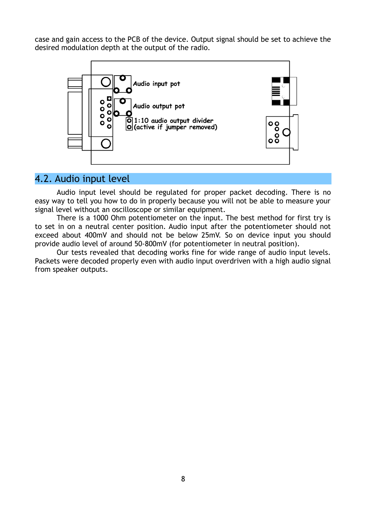case and gain access to the PCB of the device. Output signal should be set to achieve the desired modulation depth at the output of the radio.



#### 4.2. Audio input level

Audio input level should be regulated for proper packet decoding. There is no easy way to tell you how to do in properly because you will not be able to measure your signal level without an oscilloscope or similar equipment.

There is a 1000 Ohm potentiometer on the input. The best method for first try is to set in on a neutral center position. Audio input after the potentiometer should not exceed about 400mV and should not be below 25mV. So on device input you should provide audio level of around 50-800mV (for potentiometer in neutral position).

Our tests revealed that decoding works fine for wide range of audio input levels. Packets were decoded properly even with audio input overdriven with a high audio signal from speaker outputs.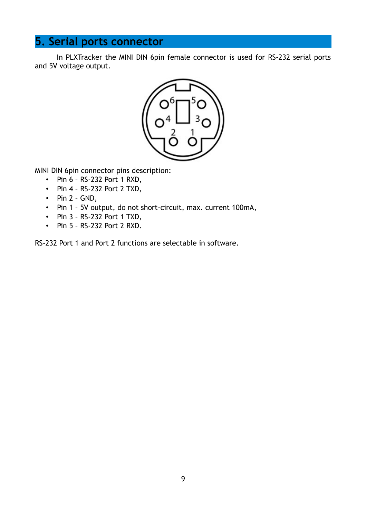## **5. Serial ports connector**

In PLXTracker the MINI DIN 6pin female connector is used for RS-232 serial ports and 5V voltage output.



MINI DIN 6pin connector pins description:

- Pin 6 RS-232 Port 1 RXD,
- Pin 4 RS-232 Port 2 TXD,
- Pin  $2 GND$ ,
- Pin 1 5V output, do not short-circuit, max. current 100mA,
- Pin 3 RS-232 Port 1 TXD,
- Pin 5 RS-232 Port 2 RXD.

RS-232 Port 1 and Port 2 functions are selectable in software.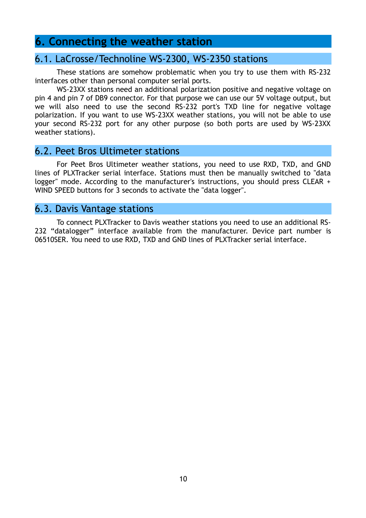#### **6. Connecting the weather station**

#### 6.1. LaCrosse/Technoline WS-2300, WS-2350 stations

These stations are somehow problematic when you try to use them with RS-232 interfaces other than personal computer serial ports.

WS-23XX stations need an additional polarization positive and negative voltage on pin 4 and pin 7 of DB9 connector. For that purpose we can use our 5V voltage output, but we will also need to use the second RS-232 port's TXD line for negative voltage polarization. If you want to use WS-23XX weather stations, you will not be able to use your second RS-232 port for any other purpose (so both ports are used by WS-23XX weather stations).

#### 6.2. Peet Bros Ultimeter stations

For Peet Bros Ultimeter weather stations, you need to use RXD, TXD, and GND lines of PLXTracker serial interface. Stations must then be manually switched to "data logger" mode. According to the manufacturer's instructions, you should press CLEAR + WIND SPEED buttons for 3 seconds to activate the "data logger".

#### 6.3. Davis Vantage stations

To connect PLXTracker to Davis weather stations you need to use an additional RS-232 "datalogger" interface available from the manufacturer. Device part number is 06510SER. You need to use RXD, TXD and GND lines of PLXTracker serial interface.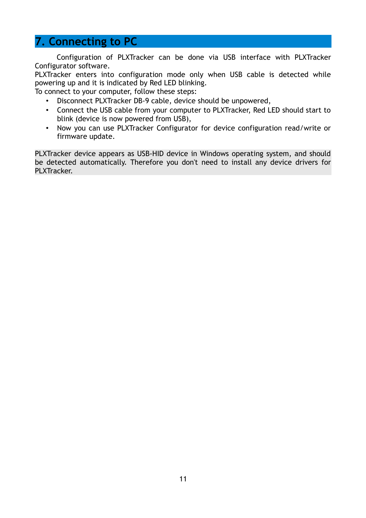### **7. Connecting to PC**

Configuration of PLXTracker can be done via USB interface with PLXTracker Configurator software.

PLXTracker enters into configuration mode only when USB cable is detected while powering up and it is indicated by Red LED blinking.

To connect to your computer, follow these steps:

- Disconnect PLXTracker DB-9 cable, device should be unpowered,
- Connect the USB cable from your computer to PLXTracker, Red LED should start to blink (device is now powered from USB),
- Now you can use PLXTracker Configurator for device configuration read/write or firmware update.

PLXTracker device appears as USB-HID device in Windows operating system, and should be detected automatically. Therefore you don't need to install any device drivers for PLXTracker.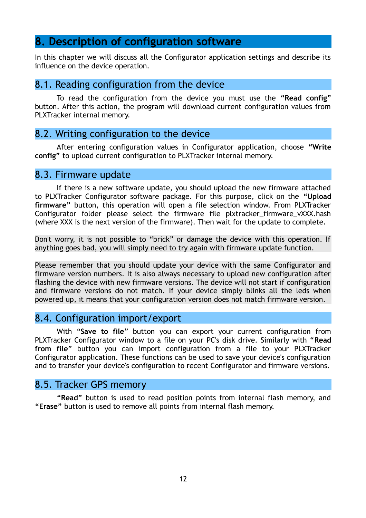#### **8. Description of configuration software**

In this chapter we will discuss all the Configurator application settings and describe its influence on the device operation.

#### 8.1. Reading configuration from the device

To read the configuration from the device you must use the **"Read config"** button. After this action, the program will download current configuration values from PLXTracker internal memory.

#### 8.2. Writing configuration to the device

After entering configuration values in Configurator application, choose **"Write config"** to upload current configuration to PLXTracker internal memory.

#### 8.3. Firmware update

If there is a new software update, you should upload the new firmware attached to PLXTracker Configurator software package. For this purpose, click on the **"Upload firmware"** button, this operation will open a file selection window. From PLXTracker Configurator folder please select the firmware file plxtracker firmware vXXX.hash (where XXX is the next version of the firmware). Then wait for the update to complete.

Don't worry, it is not possible to "brick" or damage the device with this operation. If anything goes bad, you will simply need to try again with firmware update function.

Please remember that you should update your device with the same Configurator and firmware version numbers. It is also always necessary to upload new configuration after flashing the device with new firmware versions. The device will not start if configuration and firmware versions do not match. If your device simply blinks all the leds when powered up, it means that your configuration version does not match firmware version.

#### 8.4. Configuration import/export

With "**Save to file**" button you can export your current configuration from PLXTracker Configurator window to a file on your PC's disk drive. Similarly with "**Read from file**" button you can import configuration from a file to your PLXTracker Configurator application. These functions can be used to save your device's configuration and to transfer your device's configuration to recent Configurator and firmware versions.

#### 8.5. Tracker GPS memory

**"Read"** button is used to read position points from internal flash memory, and **"Erase"** button is used to remove all points from internal flash memory.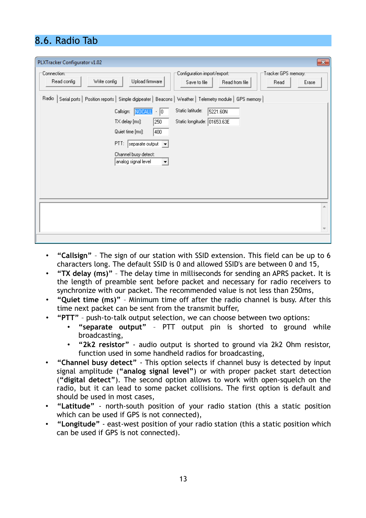## 8.6. Radio Tab

| PLXTracker Configurator v1.02<br>$\mathbf{x}$                                                                                                                                                                                                                                                                                                                                                          |
|--------------------------------------------------------------------------------------------------------------------------------------------------------------------------------------------------------------------------------------------------------------------------------------------------------------------------------------------------------------------------------------------------------|
| Configuration import/export:<br>:Connection:⊤<br>∙Tracker GPS memory:⊤<br>Write config<br>Upload firmware<br>Read config<br>Read from file<br>Erase<br>Save to file<br>Read                                                                                                                                                                                                                            |
| Radio<br>Serial ports   Position reports   Simple digipeater   Beacons   Weather   Telemetry module   GPS memory  <br>Static latitude:<br>Callsign: NOCALL<br>5221.60N<br>$\cdot  0 $<br>Static longitude: 01653.63E<br>250<br>TX delay [ms]:<br>400<br>Quiet time [ms]:<br>$PTI:$ separate output $\boxed{\blacktriangledown}$<br>Channel busy detect:<br>analog signal level<br>$\blacktriangledown$ |
|                                                                                                                                                                                                                                                                                                                                                                                                        |

- **"Callsign"** The sign of our station with SSID extension. This field can be up to 6 characters long. The default SSID is 0 and allowed SSID's are between 0 and 15,
- **"TX delay (ms)"** The delay time in milliseconds for sending an APRS packet. It is the length of preamble sent before packet and necessary for radio receivers to synchronize with our packet. The recommended value is not less than 250ms,
- **"Quiet time (ms)"** Minimum time off after the radio channel is busy. After this time next packet can be sent from the transmit buffer,
- **"PTT"** push-to-talk output selection, we can choose between two options:
	- **"separate output"** PTT output pin is shorted to ground while broadcasting,
	- **"2k2 resistor"** audio output is shorted to ground via 2k2 Ohm resistor, function used in some handheld radios for broadcasting,
- **"Channel busy detect"** This option selects if channel busy is detected by input signal amplitude (**"analog signal level"**) or with proper packet start detection (**"digital detect"**). The second option allows to work with open-squelch on the radio, but it can lead to some packet collisions. The first option is default and should be used in most cases,
- **"Latitude"** north-south position of your radio station (this a static position which can be used if GPS is not connected),
- **"Longitude"** east-west position of your radio station (this a static position which can be used if GPS is not connected).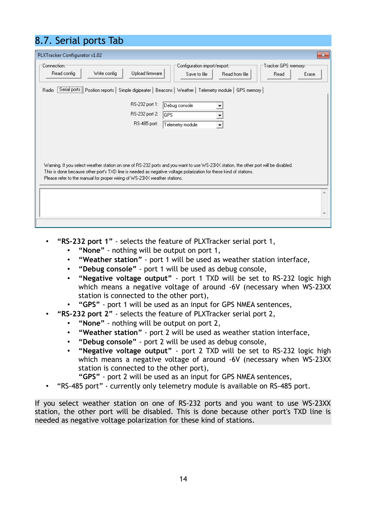## 8.7. Serial ports Tab

| PLXTracker Configurator v1.02                                                                                                                                                                                                                                                                                                                                                                                                                                      | $\mathbf{x}$ |
|--------------------------------------------------------------------------------------------------------------------------------------------------------------------------------------------------------------------------------------------------------------------------------------------------------------------------------------------------------------------------------------------------------------------------------------------------------------------|--------------|
| :Configuration import/export<br>:Tracker GPS memory:<br>:Connection<br>Write config<br>Upload firmware<br>Read config<br>Read from file<br>Read<br>Save to file<br>Erase                                                                                                                                                                                                                                                                                           |              |
| Serial ports   Position reports   Simple digipeater   Beacons   Weather   Telemetry module   GPS memory  <br>Radio                                                                                                                                                                                                                                                                                                                                                 |              |
| RS-232 port 1:<br>Debug console<br>RS-232 port 2:<br> GPS<br>RS-485 port:<br>Telemetry module<br>$\overline{\phantom{a}}$<br>Warning. If you select weather station on one of RS-232 ports and you want to use WS-23XX station, the other port will be disabled.<br>This is done because other port's TXD line is needed as negative voltage polarization for these kind of stations.<br>Please refer to the manual for proper wiring of WS-23XX weather stations. |              |
|                                                                                                                                                                                                                                                                                                                                                                                                                                                                    |              |
|                                                                                                                                                                                                                                                                                                                                                                                                                                                                    |              |
|                                                                                                                                                                                                                                                                                                                                                                                                                                                                    |              |

- **"RS-232 port 1"** selects the feature of PLXTracker serial port 1,
	- **"None"** nothing will be output on port 1,
	- **"Weather station"** port 1 will be used as weather station interface,
	- **"Debug console"** port 1 will be used as debug console,
	- **"Negative voltage output"** port 1 TXD will be set to RS-232 logic high which means a negative voltage of around -6V (necessary when WS-23XX station is connected to the other port),
	- **"GPS"** port 1 will be used as an input for GPS NMEA sentences,
	- **"RS-232 port 2"** selects the feature of PLXTracker serial port 2,
		- **"None"** nothing will be output on port 2,
		- **"Weather station"** port 2 will be used as weather station interface,
		- **"Debug console"** port 2 will be used as debug console,
		- **"Negative voltage output"** port 2 TXD will be set to RS-232 logic high which means a negative voltage of around -6V (necessary when WS-23XX station is connected to the other port),
			- **"GPS"** port 2 will be used as an input for GPS NMEA sentences,
- "RS-485 port" currently only telemetry module is available on RS-485 port.

If you select weather station on one of RS-232 ports and you want to use WS-23XX station, the other port will be disabled. This is done because other port's TXD line is needed as negative voltage polarization for these kind of stations.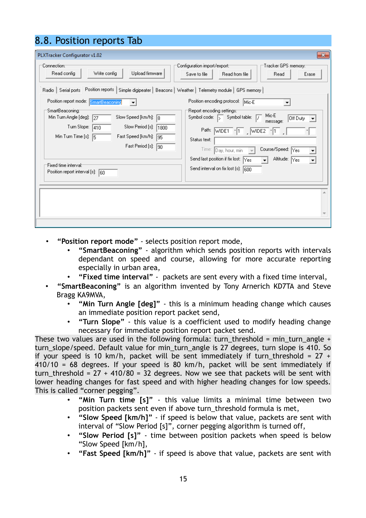| 8.8. Position reports Tab                                                                                                                                                                                                                                                                                                                                                                                                                                                                                                                         |                                                                                                                                                                                                                                                                                                                                                                                                                                                                                        |
|---------------------------------------------------------------------------------------------------------------------------------------------------------------------------------------------------------------------------------------------------------------------------------------------------------------------------------------------------------------------------------------------------------------------------------------------------------------------------------------------------------------------------------------------------|----------------------------------------------------------------------------------------------------------------------------------------------------------------------------------------------------------------------------------------------------------------------------------------------------------------------------------------------------------------------------------------------------------------------------------------------------------------------------------------|
| PLXTracker Configurator v1.02<br>:Connection<br>Upload firmware<br>Read config<br>Write config<br>Radio   Serial ports   Position reports   Simple digipeater   Beacons   Weather   Telemetry module   GPS memory  <br>Position report mode: SmartBeaconing<br>:SmartBeaconing<br>Min Turn Angle [deg]:<br>Slow Speed [km/h]:<br>127<br>l8<br>Turn Slope:<br>Slow Period [s]:<br>410<br>1800<br>Min Turn Time [s]: $\sqrt{5}$<br>Fast Speed [km/h]:<br>195<br>Fast Period [s]:<br>190<br>Fixed time interval:<br>Position report interval [s]: 60 | $\mathbf{x}$<br>Configuration import/export:<br>Tracker GPS memory:"<br>Save to file<br>Read from file<br>Read<br>Erase<br>Position encoding protocol: Mic-E<br>'Report encoding settings:"<br>Mic-E<br>Symbol code: 5 Symbol table:<br>Off Duty<br>message:<br>Path:<br>$WIDE1 \n-1 \n  WIDE2$<br>Status text:<br>Course/Speed: Yes<br>Time:<br>Day, hour, min<br>Send last position if fix lost: Yes<br>Altitude: Yes<br>$\mathbf{r}$<br>۰<br>Send interval on fix lost (s):<br>1600 |
|                                                                                                                                                                                                                                                                                                                                                                                                                                                                                                                                                   |                                                                                                                                                                                                                                                                                                                                                                                                                                                                                        |

- **"Position report mode"** selects position report mode,
	- **"SmartBeaconing"** algorithm which sends position reports with intervals dependant on speed and course, allowing for more accurate reporting especially in urban area,
	- **"Fixed time interval"** packets are sent every with a fixed time interval,
- **"SmartBeaconing"** is an algorithm invented by Tony Arnerich KD7TA and Steve Bragg KA9MVA,
	- **"Min Turn Angle [deg]"** this is a minimum heading change which causes an immediate position report packet send,
	- **"Turn Slope"** this value is a coefficient used to modify heading change necessary for immediate position report packet send.

These two values are used in the following formula: turn\_threshold = min\_turn\_angle + turn slope/speed. Default value for min turn angle is 27 degrees, turn slope is 410. So if your speed is 10 km/h, packet will be sent immediately if turn\_threshold =  $27 +$ 410/10 = 68 degrees. If your speed is 80 km/h, packet will be sent immediately if turn threshold =  $27 + 410/80 = 32$  degrees. Now we see that packets will be sent with lower heading changes for fast speed and with higher heading changes for low speeds. This is called "corner pegging".

- **"Min Turn time [s]"** this value limits a minimal time between two position packets sent even if above turn\_threshold formula is met,
- **"Slow Speed [km/h]"** if speed is below that value, packets are sent with interval of "Slow Period [s]", corner pegging algorithm is turned off,
- **"Slow Period [s]"** time between position packets when speed is below "Slow Speed [km/h],
- **"Fast Speed [km/h]"** if speed is above that value, packets are sent with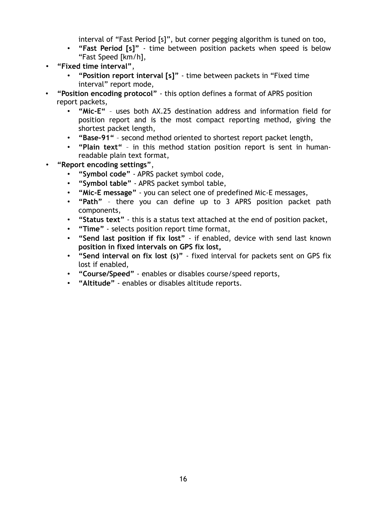interval of "Fast Period [s]", but corner pegging algorithm is tuned on too,

- **"Fast Period [s]"** time between position packets when speed is below "Fast Speed [km/h],
- **"Fixed time interval"**,
	- **"Position report interval [s]"** time between packets in "Fixed time interval" report mode,
- **"Position encoding protocol"** this option defines a format of APRS position report packets,
	- **"Mic-E"** uses both AX.25 destination address and information field for position report and is the most compact reporting method, giving the shortest packet length,
	- **"Base-91"** second method oriented to shortest report packet length,
	- **"Plain text"** in this method station position report is sent in humanreadable plain text format,
- **"Report encoding settings"**,
	- **"Symbol code"** APRS packet symbol code,
	- **"Symbol table"** APRS packet symbol table,
	- **"Mic-E message"** you can select one of predefined Mic-E messages,
	- **"Path"** there you can define up to 3 APRS position packet path components,
	- **"Status text"** this is a status text attached at the end of position packet,
	- **"Time"** selects position report time format,
	- **"Send last position if fix lost"** if enabled, device with send last known **position in fixed intervals on GPS fix lost,**
	- **"Send interval on fix lost (s)"** fixed interval for packets sent on GPS fix lost if enabled,
	- **"Course/Speed"** enables or disables course/speed reports,
	- **"Altitude"** enables or disables altitude reports.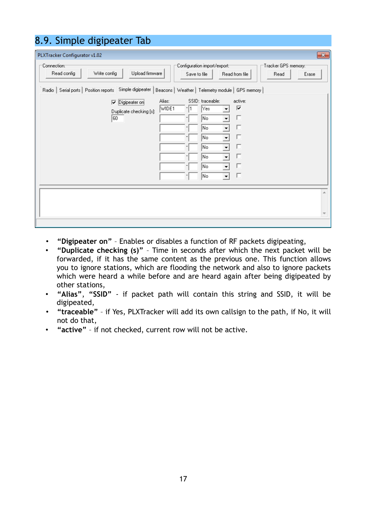| 8.9. Simple digipeater Tab                                                                                                                                                                                                                                                                                                                                                     |
|--------------------------------------------------------------------------------------------------------------------------------------------------------------------------------------------------------------------------------------------------------------------------------------------------------------------------------------------------------------------------------|
| PLXTracker Configurator v1.02<br>$\mathbf{x}$                                                                                                                                                                                                                                                                                                                                  |
| Connection:<br>Configuration import/export::<br>Tracker GPS memory:-<br>Upload firmware<br>Read config<br>Write config<br>Read from file<br>Save to file<br>Read<br>Erase                                                                                                                                                                                                      |
| Serial ports   Position reports   Simple digipeater  <br>Beacons   Weather   Telemetry module   GPS memory  <br>Radio<br>Alias:<br>SSID: traceable:<br>active:<br>$\nabla$ Digipeater or<br>⊽<br>WIDE1<br>Yes:<br>Duplicate checking [s]:<br>п<br>60<br>No.<br>П<br>No.<br>П<br>No<br>▾<br>г<br> No<br>۰<br>п<br> No<br>$\blacktriangledown$<br>г<br> No<br>▾<br>п<br> No<br>÷ |
|                                                                                                                                                                                                                                                                                                                                                                                |
|                                                                                                                                                                                                                                                                                                                                                                                |

- **"Digipeater on"** Enables or disables a function of RF packets digipeating,
- **"Duplicate checking (s)"** Time in seconds after which the next packet will be forwarded, if it has the same content as the previous one. This function allows you to ignore stations, which are flooding the network and also to ignore packets which were heard a while before and are heard again after being digipeated by other stations,
- **"Alias"**, **"SSID"** if packet path will contain this string and SSID, it will be digipeated,
- **"traceable"** if Yes, PLXTracker will add its own callsign to the path, if No, it will not do that,
- **"active"** if not checked, current row will not be active.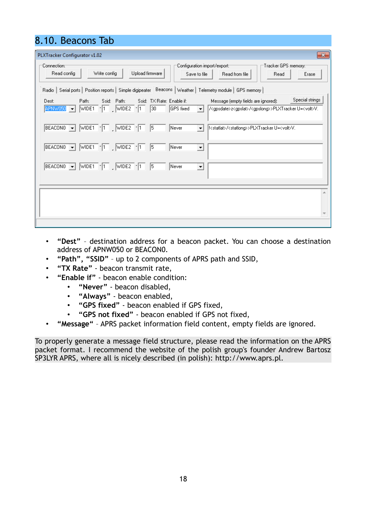## 8.10. Beacons Tab

| PLXTracker Configurator v1.02<br>$\mathbf{x}$                                                                                                                                                                                                                                                    |
|--------------------------------------------------------------------------------------------------------------------------------------------------------------------------------------------------------------------------------------------------------------------------------------------------|
| :Connection:<br>Configuration import/export:-<br>⊤Tracker GPS memory:⊤<br>Write config<br>Upload firmware<br>Read config<br>Read from file<br>Erase<br>Save to file<br>Read                                                                                                                      |
| Radio   Serial ports   Position reports   Simple digipeater   Beacons   Weather   Telemetry module   GPS memory                                                                                                                                                                                  |
| Special strings<br>Path:<br>Ssid: Path:<br>Ssid: TX Rate: Enable if:<br>Message (empty fields are ignored):<br>Dest:<br>APNW050 V WDE1 T WDE2 1 30<br>GPS fixed<br>/ <gpsdate>z<gpslat>/<gpslong>&gt;PLXTrackerU=<volt>V.<br/><math>\vert \cdot \vert</math></volt></gpslong></gpslat></gpsdate> |
| BEACONO $\blacktriangleright$ WIDE1 $\lceil \cdot \rceil$ , WIDE2 $\lceil \cdot \rceil$<br>5<br>Never<br>! <statlat>/<statlong>&gt;PLXTracker U=<volt>V.<br/><math display="inline">\blacktriangledown</math></volt></statlong></statlat>                                                        |
| $BEACON0 = WIDE1$ -1 WIDE1<br>$\vert$ 5<br>Never<br>$\blacktriangledown$                                                                                                                                                                                                                         |
| BEACONO - WIDE1 - 1 WIDE2 - 1 5<br>Never<br>$\overline{\mathbf{v}}$                                                                                                                                                                                                                              |
|                                                                                                                                                                                                                                                                                                  |
|                                                                                                                                                                                                                                                                                                  |

- **"Dest"** destination address for a beacon packet. You can choose a destination address of APNW050 or BEACON0.
- **"Path", "SSID"** up to 2 components of APRS path and SSID,
- **"TX Rate"** beacon transmit rate,
- **"Enable if"** beacon enable condition:
	- **"Never"** beacon disabled,
		- **"Always"** beacon enabled,
		- **"GPS fixed"** beacon enabled if GPS fixed,
	- **"GPS not fixed"** beacon enabled if GPS not fixed,
- **"Message"** APRS packet information field content, empty fields are ignored.

To properly generate a message field structure, please read the information on the APRS packet format. I recommend the website of the polish group's founder Andrew Bartosz SP3LYR APRS, where all is nicely described (in polish): http://www.aprs.pl.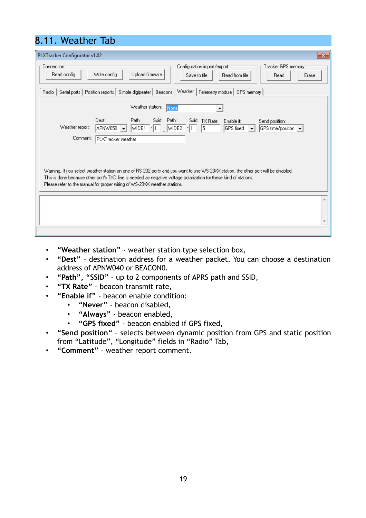## 8.11. Weather Tab

| PLXTracker Configurator v1.02<br>$\mathbf{x}$                                                                                                                                                                                                                                                                                         |
|---------------------------------------------------------------------------------------------------------------------------------------------------------------------------------------------------------------------------------------------------------------------------------------------------------------------------------------|
| :Connection<br>:Configuration import/export<br>:Tracker GPS memory:1<br>Write config<br>Upload firmware<br>Read config<br>Read from file<br>Save to file<br>Erase<br>Read                                                                                                                                                             |
| Radio   Serial ports   Position reports   Simple digipeater   Beacons   Weather   Telemetry module   GPS memory                                                                                                                                                                                                                       |
| Weather station:<br>None<br>▼                                                                                                                                                                                                                                                                                                         |
| Dest:<br>Path:<br>Ssid: Path:<br>Ssid: TX Rate:<br>Enable if:<br>Send position:<br>Weather report:<br>5<br>WIDE2<br>APNW050<br>WIDE1<br>$-11$<br>$-11$<br>GPS fixed<br>GPS time/position v<br>$\overline{\phantom{a}}$<br>$\overline{\phantom{0}}$<br>Comment:<br>PLXTracker weather                                                  |
| Warning. If you select weather station on one of RS-232 ports and you want to use WS-23XX station, the other port will be disabled.<br>This is done because other port's TXD line is needed as negative voltage polarization for these kind of stations.<br>Please refer to the manual for proper wiring of WS-23XX weather stations. |
|                                                                                                                                                                                                                                                                                                                                       |
|                                                                                                                                                                                                                                                                                                                                       |

- **"Weather station"** weather station type selection box,
- **"Dest"** destination address for a weather packet. You can choose a destination address of APNW040 or BEACON0.
- **"Path", "SSID"** up to 2 components of APRS path and SSID,
- **"TX Rate"** beacon transmit rate,
- **"Enable if"** beacon enable condition:
	- **"Never"** beacon disabled,
	- **"Always"** beacon enabled,
	- **"GPS fixed"** beacon enabled if GPS fixed,
- **"Send position"** selects between dynamic position from GPS and static position from "Latitude", "Longitude" fields in "Radio" Tab,
- **"Comment"** weather report comment.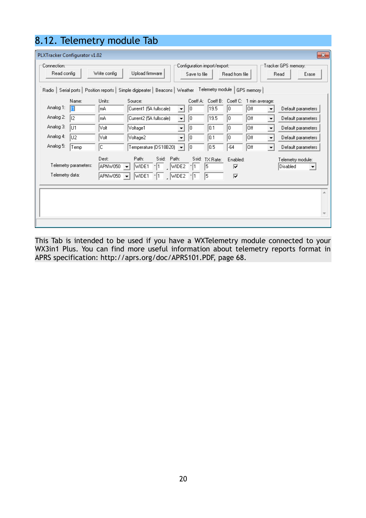|                                                                                                                                                                                                                                                                                                |       |        | 8.12. Telemetry module Tab                      |    |                            |       |                |                          |                    |      |
|------------------------------------------------------------------------------------------------------------------------------------------------------------------------------------------------------------------------------------------------------------------------------------------------|-------|--------|-------------------------------------------------|----|----------------------------|-------|----------------|--------------------------|--------------------|------|
| PLXTracker Configurator v1.02                                                                                                                                                                                                                                                                  |       |        |                                                 |    |                            |       |                |                          |                    | $-x$ |
| :Connection<br>Tracker GPS memory:"<br>:Configuration import/export<br>Upload firmware<br>Read config<br>Write config<br>Read from file<br>Read<br>Save to file<br>Erase<br>Serial ports   Position reports   Simple digipeater   Beacons   Weather   Telemetry module   GPS memory  <br>Radio |       |        |                                                 |    |                            |       |                |                          |                    |      |
|                                                                                                                                                                                                                                                                                                | Name: | Units: | Source:                                         |    | Coeff A: Coeff B: Coeff C: |       | 1 min average: |                          |                    |      |
| Analog 1:                                                                                                                                                                                                                                                                                      |       | lmA.   | Current1 (5A fullscale)<br>$\blacktriangledown$ | 10 | 19.5                       | O     | Off            | $\overline{\phantom{a}}$ | Default parameters |      |
| Analog 2:                                                                                                                                                                                                                                                                                      | lı2   | lmA.   | Current2 (5A fullscale)<br>$\blacktriangledown$ | lo | 19.5                       | 0     | Off            | $\blacktriangledown$     | Default parameters |      |
| Analog 3:                                                                                                                                                                                                                                                                                      | lu1   | Volt   | Voltage1<br>$\blacktriangledown$                | l0 | 10.1                       | 0     | Off            | $\vert \cdot \vert$      | Default parameters |      |
| Analog 4:                                                                                                                                                                                                                                                                                      | lu2   | Volt   | Voltage2<br>$\blacktriangledown$                | 10 | 0.1                        | 0     | Off            | $\vert$                  | Default parameters |      |
| Analog 5:                                                                                                                                                                                                                                                                                      | Temp  | c      | Temperature (DS18B20)<br>۰                      | l0 | 0.5                        | $-64$ | Off            | $\overline{\phantom{a}}$ | Default parameters |      |
| Path:<br>Ssid:<br>Path:<br>Ssid:<br>Dest:<br>TX Rate:<br>Enabled:<br>Telemetry module:<br>Telemetry parameters:<br>APNW050<br>-11<br>WIDE2<br>15<br>Disabled<br>WIDE1<br>$-11$<br>⊽<br>$\blacktriangledown$<br>Telemetry data:<br>APNW050<br>WIDE1<br>WIDE2<br>15<br>⊽<br>▼                    |       |        |                                                 |    |                            |       |                |                          |                    |      |
|                                                                                                                                                                                                                                                                                                |       |        |                                                 |    |                            |       |                |                          |                    |      |
|                                                                                                                                                                                                                                                                                                |       |        |                                                 |    |                            |       |                |                          |                    |      |

This Tab is intended to be used if you have a WXTelemetry module connected to your WX3in1 Plus. You can find more useful information about telemetry reports format in APRS specification: http://aprs.org/doc/APRS101.PDF, page 68.